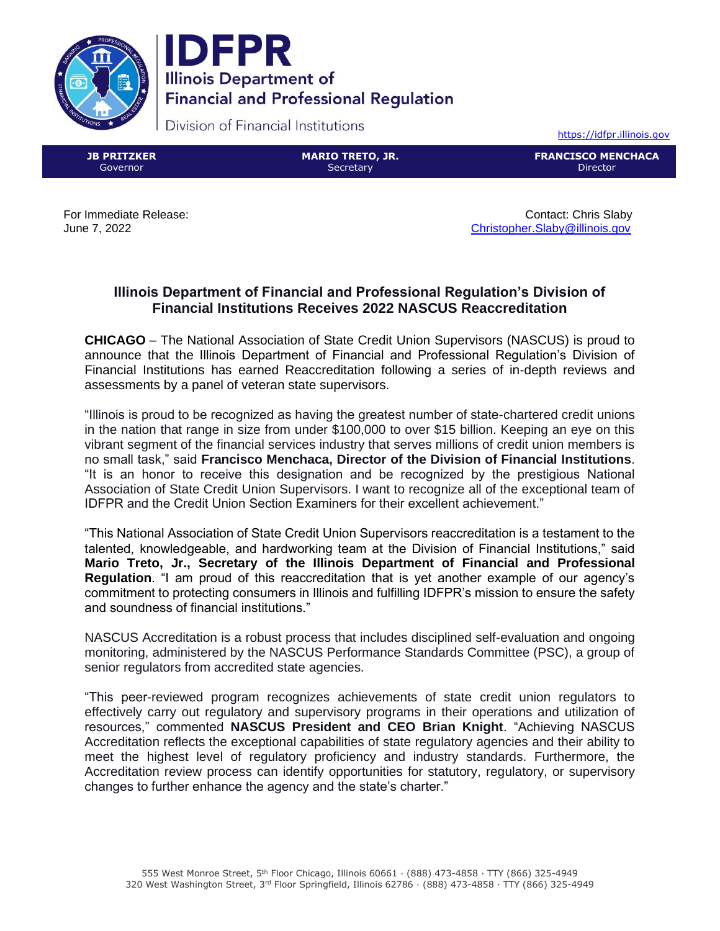



Division of Financial Institutions

[https://idfpr.illinois.gov](https://idfpr.illinois.gov/)

**JB PRITZKER** Governor

**MARIO TRETO, JR. Secretary** 

**FRANCISCO MENCHACA** Director

For Immediate Release: Contact: Chris Slaby June 7, 2022 [Christopher.Slaby@illinois.gov](mailto:Christopher.Slaby@illinois.gov)

## **Illinois Department of Financial and Professional Regulation's Division of Financial Institutions Receives 2022 NASCUS Reaccreditation**

**CHICAGO** – The National Association of State Credit Union Supervisors (NASCUS) is proud to announce that the Illinois Department of Financial and Professional Regulation's Division of Financial Institutions has earned Reaccreditation following a series of in-depth reviews and assessments by a panel of veteran state supervisors.

"Illinois is proud to be recognized as having the greatest number of state-chartered credit unions in the nation that range in size from under \$100,000 to over \$15 billion. Keeping an eye on this vibrant segment of the financial services industry that serves millions of credit union members is no small task," said **Francisco Menchaca, Director of the Division of Financial Institutions**. "It is an honor to receive this designation and be recognized by the prestigious National Association of State Credit Union Supervisors. I want to recognize all of the exceptional team of IDFPR and the Credit Union Section Examiners for their excellent achievement."

"This National Association of State Credit Union Supervisors reaccreditation is a testament to the talented, knowledgeable, and hardworking team at the Division of Financial Institutions," said **Mario Treto, Jr., Secretary of the Illinois Department of Financial and Professional Regulation**. "I am proud of this reaccreditation that is yet another example of our agency's commitment to protecting consumers in Illinois and fulfilling IDFPR's mission to ensure the safety and soundness of financial institutions."

NASCUS Accreditation is a robust process that includes disciplined self-evaluation and ongoing monitoring, administered by the NASCUS Performance Standards Committee (PSC), a group of senior regulators from accredited state agencies.

"This peer-reviewed program recognizes achievements of state credit union regulators to effectively carry out regulatory and supervisory programs in their operations and utilization of resources," commented **NASCUS President and CEO Brian Knight**. "Achieving NASCUS Accreditation reflects the exceptional capabilities of state regulatory agencies and their ability to meet the highest level of regulatory proficiency and industry standards. Furthermore, the Accreditation review process can identify opportunities for statutory, regulatory, or supervisory changes to further enhance the agency and the state's charter."